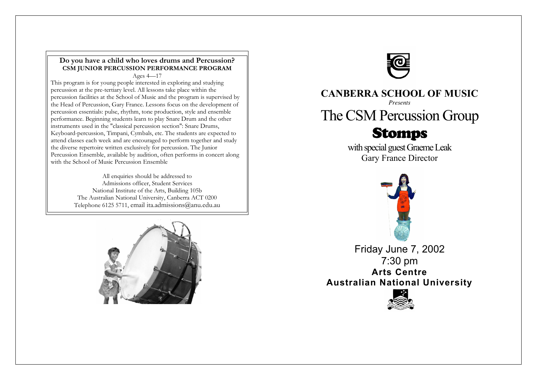

This program is for young people interested in exploring and studying percussion at the pre-tertiary level. All lessons take place within the percussion facilities at the School of Music and the program is supervised by the Head of Percussion, Gary France. Lessons focus on the development of percussion essentials: pulse, rhythm, tone production, style and ensemble performance. Beginning students learn to play Snare Drum and the other instruments used in the "classical percussion section": Snare Drums, Keyboard-percussion, Timpani, Cymbals, etc. The students are expected to attend classes each week and are encouraged to perform together and study the diverse repertoire written exclusively for percussion. The Junior Percussion Ensemble, available by audition, often performs in concert along with the School of Music Percussion Ensemble

> All enquiries should be addressed to Admissions officer, Student Services National Institute of the Arts, Building 105b The Australian National University, Canberra ACT 0200 Telephone 6125 5711, email ita.admissions@anu.edu.au





## **CANBERRA SCHOOL OF MUSIC**

*Presents*

# The CSM Percussion Group

## Stomps

with special guest Graeme Leak Gary France Director



Friday June 7, 2002 7:30 pm **Arts Centre Australian National University**

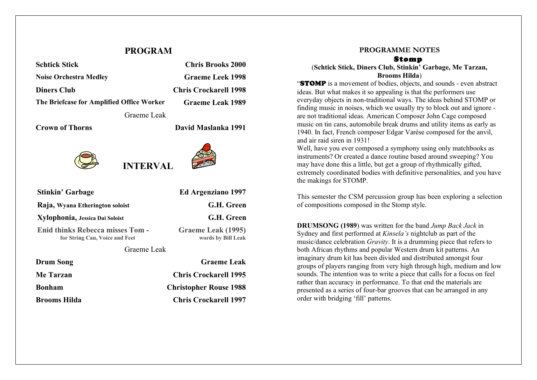## **PROGRAM**

| <b>Schtick Stick</b>                                                      | <b>Chris Brooks 2000</b>                 |
|---------------------------------------------------------------------------|------------------------------------------|
| <b>Noise Orchestra Medley</b>                                             | <b>Graeme Leek 1998</b>                  |
| <b>Diners Club</b>                                                        | <b>Chris Crockarell 1998</b>             |
| The Briefcase for Amplified Office Worker                                 | <b>Graeme Leak 1989</b>                  |
| Graeme Leak                                                               |                                          |
| <b>Crown of Thorns</b>                                                    | David Maslanka 1991                      |
| <b>INTERVAL</b>                                                           |                                          |
|                                                                           |                                          |
| Stinkin' Garbage                                                          | Ed Argenziano 1997                       |
| Raja, Wyana Etherington soloist                                           | G.H. Green                               |
| Xylophonia, Jessica Dai Soloist                                           | G.H. Green                               |
| <b>Enid thinks Rebecca misses Tom -</b><br>for String Can, Voice and Feet | Graeme Leak (1995)<br>words by Bill Leak |
| Graeme Leak                                                               |                                          |
| <b>Drum Song</b>                                                          | <b>Graeme Leak</b>                       |
| <b>Me Tarzan</b>                                                          | <b>Chris Crockarell 1995</b>             |
| <b>Bonham</b>                                                             | <b>Christopher Rouse 1988</b>            |

#### **PROGRAMME NOTES**

#### Stomp

(**Schtick Stick, Diners Club, Stinkin' Garbage, Me Tarzan, Brooms Hilda**)

"**STOMP** is a movement of bodies, objects, and sounds - even abstract ideas. But what makes it so appealing is that the performers use everyday objects in non-traditional ways. The ideas behind STOMP or finding music in noises, which we usually try to block out and ignore are not traditional ideas. American Composer John Cage composed music on tin cans, automobile break drums and utility items as early as 1940. In fact, French composer Edgar Varése composed for the anvil, and air raid siren in 1931!

Well, have you ever composed a symphony using only matchbooks as instruments? Or created a dance routine based around sweeping? You may have done this a little, but get a group of rhythmically gifted, extremely coordinated bodies with definitive personalities, and you have the makings for STOMP.

This semester the CSM percussion group has been exploring a selection of compositions composed in the Stomp style.

**DRUMSONG (1989**) was written for the band *Jump Back Jack* in Sydney and first performed at *Kinsela's* nightclub as part of the music/dance celebration *Gravity*. It is a drumming piece that refers to both African rhythms and popular Western drum kit patterns. An imaginary drum kit has been divided and distributed amongst four groups of players ranging from very high through high, medium and low sounds. The intention was to write a piece that calls for a focus on feel rather than accuracy in performance. To that end the materials are presented as a series of four-bar grooves that can be arranged in any order with bridging 'fill' patterns.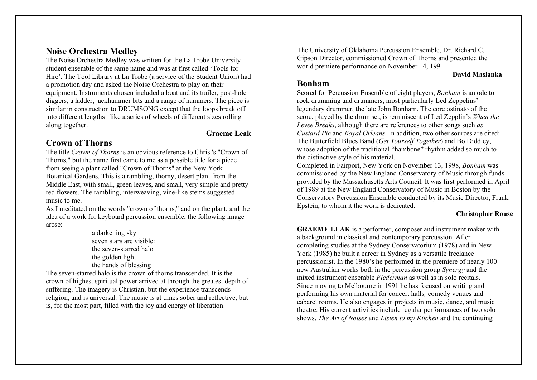## **Noise Orchestra Medley**

The Noise Orchestra Medley was written for the La Trobe University student ensemble of the same name and was at first called 'Tools for Hire'. The Tool Library at La Trobe (a service of the Student Union) had a promotion day and asked the Noise Orchestra to play on their equipment. Instruments chosen included a boat and its trailer, post-hole diggers, a ladder, jackhammer bits and a range of hammers. The piece is similar in construction to DRUMSONG except that the loops break off into different lengths –like a series of wheels of different sizes rolling along together.

## **Crown of Thorns**

### **Graeme Leak**

The title *Crown of Thorns* is an obvious reference to Christ's "Crown of Thorns," but the name first came to me as a possible title for a piece from seeing a plant called "Crown of Thorns" at the New York Botanical Gardens. This is a rambling, thorny, desert plant from the Middle East, with small, green leaves, and small, very simple and pretty red flowers. The rambling, interweaving, vine-like stems suggested music to me.

As I meditated on the words "crown of thorns," and on the plant, and the idea of a work for keyboard percussion ensemble, the following image arose:

> a darkening sky seven stars are visible: the seven-starred halo the golden light the hands of blessing

The seven-starred halo is the crown of thorns transcended. It is the crown of highest spiritual power arrived at through the greatest depth of suffering. The imagery is Christian, but the experience transcends religion, and is universal. The music is at times sober and reflective, but is, for the most part, filled with the joy and energy of liberation.

The University of Oklahoma Percussion Ensemble, Dr. Richard C. Gipson Director, commissioned Crown of Thorns and presented the world premiere performance on November 14, 1991

#### **David Maslanka**

## **Bonham**

Scored for Percussion Ensemble of eight players, *Bonham* is an ode to rock drumming and drummers, most particularly Led Zeppelins' legendary drummer, the late John Bonham. The core ostinato of the score, played by the drum set, is reminiscent of Led Zepplin's *When the Levee Breaks*, although there are references to other songs such *as Custard Pie* and *Royal Orleans*. In addition, two other sources are cited: The Butterfield Blues Band (*Get Yourself Together*) and Bo Diddley, whose adoption of the traditional "hambone" rhythm added so much to the distinctive style of his material.

Completed in Fairport, New York on November 13, 1998, *Bonham* was commissioned by the New England Conservatory of Music through funds provided by the Massachusetts Arts Council. It was first performed in April of 1989 at the New England Conservatory of Music in Boston by the Conservatory Percussion Ensemble conducted by its Music Director, Frank Epstein, to whom it the work is dedicated.

### **Christopher Rouse**

**GRAEME LEAK** is a performer, composer and instrument maker with a background in classical and contemporary percussion. After completing studies at the Sydney Conservatorium (1978) and in New York (1985) he built a career in Sydney as a versatile freelance percussionist. In the 1980's he performed in the premiere of nearly 100 new Australian works both in the percussion group *Synergy* and the mixed instrument ensemble *Flederman* as well as in solo recitals. Since moving to Melbourne in 1991 he has focused on writing and performing his own material for concert halls*,* comedy venues and cabaret rooms. He also engages in projects in music, dance, and music theatre. His current activities include regular performances of two solo shows, *The Art of Noises* and *Listen to my Kitchen* and the continuing